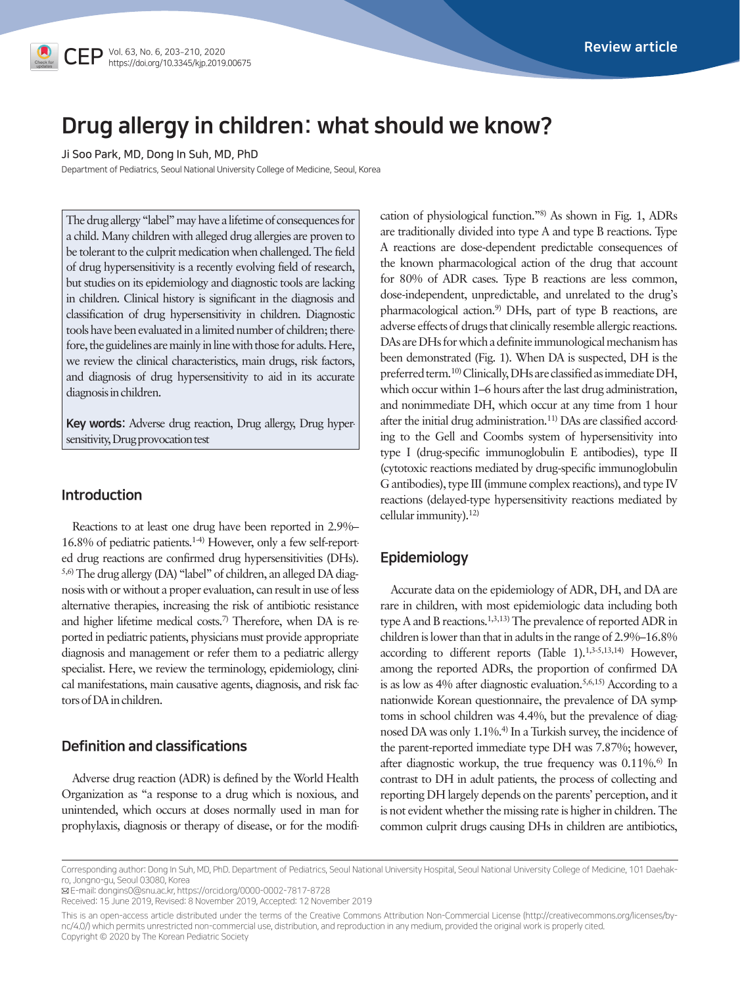# Drug allergy in children: what should we know?

Ji Soo Park, MD, Dong In Suh, MD, PhD

Department of Pediatrics, Seoul National University College of Medicine, Seoul, Korea

The drug allergy "label" may have a lifetime of consequences for a child. Many children with alleged drug allergies are proven to be tolerant to the culprit medication when challenged. The field of drug hypersensitivity is a recently evolving field of research, but studies on its epidemiology and diagnostic tools are lacking in children. Clinical history is significant in the diagnosis and classification of drug hypersensitivity in children. Diagnostic tools have been evaluated in a limited number of children; therefore, the guidelines are mainly in line with those for adults. Here, we review the clinical characteristics, main drugs, risk factors, and diagnosis of drug hypersensitivity to aid in its accurate diagnosis in children.

Key words: Adverse drug reaction, Drug allergy, Drug hypersensitivity, Drug provocation test

### Introduction

Reactions to at least one drug have been reported in 2.9%– 16.8% of pediatric patients.1-4) However, only a few self-reported drug reactions are confirmed drug hypersensitivities (DHs). 5,6) The drug allergy (DA) "label" of children, an alleged DA diagnosis with or without a proper evaluation, can result in use of less alternative therapies, increasing the risk of antibiotic resistance and higher lifetime medical costs.<sup>7)</sup> Therefore, when DA is reported in pediatric patients, physicians must provide appropriate diagnosis and management or refer them to a pediatric allergy specialist. Here, we review the terminology, epidemiology, clinical manifestations, main causative agents, diagnosis, and risk factors of DA in children.

# Definition and classifications

Adverse drug reaction (ADR) is defined by the World Health Organization as "a response to a drug which is noxious, and unintended, which occurs at doses normally used in man for prophylaxis, diagnosis or therapy of disease, or for the modification of physiological function."8) As shown in Fig. 1, ADRs are traditionally divided into type A and type B reactions. Type A reactions are dose-dependent predictable consequences of the known pharmacological action of the drug that account for 80% of ADR cases. Type B reactions are less common, dose-independent, unpredictable, and unrelated to the drug's pharmacological action.9) DHs, part of type B reactions, are adverse effects of drugs that clinically resemble allergic reactions. DAs are DHs for which a definite immunological mechanism has been demonstrated (Fig. 1). When DA is suspected, DH is the preferred term.<sup>10)</sup> Clinically, DHs are classified as immediate DH, which occur within 1–6 hours after the last drug administration, and nonimmediate DH, which occur at any time from 1 hour after the initial drug administration.<sup>11)</sup> DAs are classified according to the Gell and Coombs system of hypersensitivity into type I (drug-specific immunoglobulin E antibodies), type II (cytotoxic reactions mediated by drug-specific immunoglobulin G antibodies), type III (immune complex reactions), and type IV reactions (delayed-type hypersensitivity reactions mediated by cellular immunity). $12$ 

# Epidemiology

Accurate data on the epidemiology of ADR, DH, and DA are rare in children, with most epidemiologic data including both type A and B reactions.1,3,13) The prevalence of reported ADR in children is lower than that in adults in the range of 2.9%–16.8% according to different reports (Table 1).<sup>1,3-5,13,14)</sup> However, among the reported ADRs, the proportion of confirmed DA is as low as 4% after diagnostic evaluation.5,6,15) According to a nationwide Korean questionnaire, the prevalence of DA symptoms in school children was 4.4%, but the prevalence of diagnosed DA was only 1.1%.4) In a Turkish survey, the incidence of the parent-reported immediate type DH was 7.87%; however, after diagnostic workup, the true frequency was  $0.11\%$ .<sup>6)</sup> In contrast to DH in adult patients, the process of collecting and reporting DH largely depends on the parents' perception, and it is not evident whether the missing rate is higher in children. The common culprit drugs causing DHs in children are antibiotics,

Corresponding author: Dong In Suh, MD, PhD. Department of Pediatrics, Seoul National University Hospital, Seoul National University College of Medicine, 101 Daehakro, Jongno-gu, Seoul 03080, Korea

E-mail: dongins0@snu.ac.kr, https://orcid.org/0000-0002-7817-8728

Received: 15 June 2019, Revised: 8 November 2019, Accepted: 12 November 2019

This is an open-access article distributed under the terms of the Creative Commons Attribution Non-Commercial License [\(http://creativecommons.org/licenses/by](http://creativecommons.org/licenses/by)nc/4.0/) which permits unrestricted non-commercial use, distribution, and reproduction in any medium, provided the original work is properly cited. Copyright © 2020 by The Korean Pediatric Society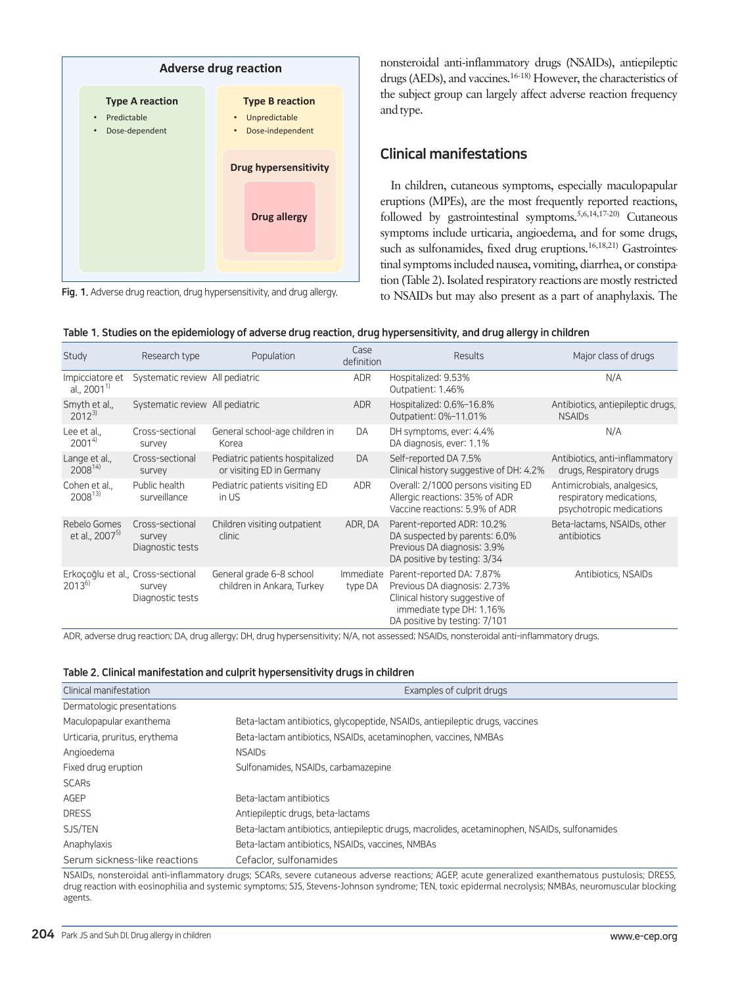

Fig. 1. Adverse drug reaction, drug hypersensitivity, and drug allergy.

nonsteroidal anti-inflammatory drugs (NSAIDs), antiepileptic drugs (AEDs), and vaccines.16-18) However, the characteristics of the subject group can largely affect adverse reaction frequency and type.

# Clinical manifestations

In children, cutaneous symptoms, especially maculopapular eruptions (MPEs), are the most frequently reported reactions, followed by gastrointestinal symptoms.5,6,14,17-20) Cutaneous symptoms include urticaria, angioedema, and for some drugs, such as sulfonamides, fixed drug eruptions.<sup>16,18,21)</sup> Gastrointestinal symptoms included nausea, vomiting, diarrhea, or constipation (Table 2). Isolated respiratory reactions are mostly restricted to NSAIDs but may also present as a part of anaphylaxis. The

|  |  |  | Table 1. Studies on the epidemiology of adverse drug reaction, drug hypersensitivity, and drug allergy in children |
|--|--|--|--------------------------------------------------------------------------------------------------------------------|
|  |  |  |                                                                                                                    |

| Study                                           | Research type                                 | Population                                                   | Case<br>definition   | <b>Results</b>                                                                                                                                           | Major class of drugs                                                                |
|-------------------------------------------------|-----------------------------------------------|--------------------------------------------------------------|----------------------|----------------------------------------------------------------------------------------------------------------------------------------------------------|-------------------------------------------------------------------------------------|
| Impicciatore et<br>al., $2001^{1}$              | Systematic review All pediatric               |                                                              | <b>ADR</b>           | Hospitalized: 9.53%<br>Outpatient: 1.46%                                                                                                                 | N/A                                                                                 |
| Smyth et al.,<br>$2012^{3}$                     | Systematic review All pediatric               |                                                              | <b>ADR</b>           | Hospitalized: 0.6%-16.8%<br>Outpatient: 0%-11.01%                                                                                                        | Antibiotics, antiepileptic drugs,<br><b>NSAIDS</b>                                  |
| Lee et al<br>$2001^{4}$                         | Cross-sectional<br>survey                     | General school-age children in<br>Korea                      | DA                   | DH symptoms, ever: 4.4%<br>DA diagnosis, ever: 1.1%                                                                                                      | N/A                                                                                 |
| Lange et al.,<br>$2008^{14}$                    | Cross-sectional<br>survey                     | Pediatric patients hospitalized<br>or visiting ED in Germany | DA                   | Self-reported DA 7.5%<br>Clinical history suggestive of DH: 4.2%                                                                                         | Antibiotics, anti-inflammatory<br>drugs, Respiratory drugs                          |
| Cohen et al.,<br>$2008^{13}$                    | Public health<br>surveillance                 | Pediatric patients visiting ED<br>in US                      | ADR                  | Overall: 2/1000 persons visiting ED<br>Allergic reactions: 35% of ADR<br>Vaccine reactions: 5.9% of ADR                                                  | Antimicrobials, analgesics,<br>respiratory medications,<br>psychotropic medications |
| Rebelo Gomes<br>et al., 2007 <sup>5)</sup>      | Cross-sectional<br>survey<br>Diagnostic tests | Children visiting outpatient<br>clinic                       | ADR, DA              | Parent-reported ADR: 10.2%<br>DA suspected by parents: 6.0%<br>Previous DA diagnosis: 3.9%<br>DA positive by testing: 3/34                               | Beta-lactams, NSAIDs, other<br>antibiotics                                          |
| Erkoçoğlu et al., Cross-sectional<br>$2013^{6}$ | survey<br>Diagnostic tests                    | General grade 6-8 school<br>children in Ankara, Turkey       | Immediate<br>type DA | Parent-reported DA: 7.87%<br>Previous DA diagnosis: 2.73%<br>Clinical history suggestive of<br>immediate type DH: 1.16%<br>DA positive by testing: 7/101 | Antibiotics, NSAIDs                                                                 |

ADR, adverse drug reaction; DA, drug allergy; DH, drug hypersensitivity; N/A, not assessed; NSAIDs, nonsteroidal anti-inflammatory drugs.

|  | Table 2. Clinical manifestation and culprit hypersensitivity drugs in children |  |  |  |
|--|--------------------------------------------------------------------------------|--|--|--|
|  |                                                                                |  |  |  |

| Clinical manifestation        | Examples of culprit drugs                                                                     |  |  |  |  |
|-------------------------------|-----------------------------------------------------------------------------------------------|--|--|--|--|
| Dermatologic presentations    |                                                                                               |  |  |  |  |
| Maculopapular exanthema       | Beta-lactam antibiotics, glycopeptide, NSAIDs, antiepileptic drugs, vaccines                  |  |  |  |  |
| Urticaria, pruritus, erythema | Beta-lactam antibiotics, NSAIDs, acetaminophen, vaccines, NMBAs                               |  |  |  |  |
| Angioedema                    | <b>NSAIDs</b>                                                                                 |  |  |  |  |
| Fixed drug eruption           | Sulfonamides, NSAIDs, carbamazepine                                                           |  |  |  |  |
| <b>SCARs</b>                  |                                                                                               |  |  |  |  |
| AGEP                          | Beta-lactam antibiotics                                                                       |  |  |  |  |
| <b>DRESS</b>                  | Antiepileptic drugs, beta-lactams                                                             |  |  |  |  |
| SJS/TEN                       | Beta-lactam antibiotics, antiepileptic drugs, macrolides, acetaminophen, NSAIDs, sulfonamides |  |  |  |  |
| Anaphylaxis                   | Beta-lactam antibiotics, NSAIDs, vaccines, NMBAs                                              |  |  |  |  |
| Serum sickness-like reactions | Cefaclor, sulfonamides                                                                        |  |  |  |  |
|                               |                                                                                               |  |  |  |  |

NSAIDs, nonsteroidal anti-inflammatory drugs; SCARs, severe cutaneous adverse reactions; AGEP, acute generalized exanthematous pustulosis; DRESS, drug reaction with eosinophilia and systemic symptoms; SJS, Stevens-Johnson syndrome; TEN, toxic epidermal necrolysis; NMBAs, neuromuscular blocking agents.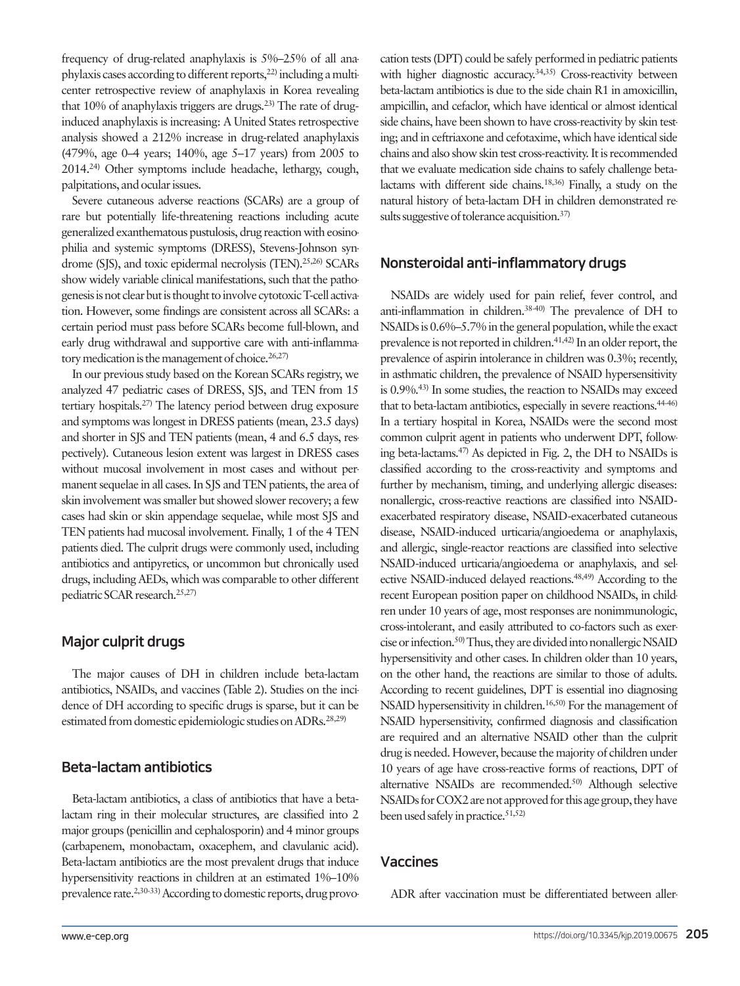frequency of drug-related anaphylaxis is 5%–25% of all anaphylaxis cases according to different reports, $^{22}$  including a multicenter retrospective review of anaphylaxis in Korea revealing that  $10\%$  of anaphylaxis triggers are drugs.<sup>23)</sup> The rate of druginduced anaphylaxis is increasing: A United States retrospective analysis showed a 212% increase in drug-related anaphylaxis (479%, age 0–4 years; 140%, age 5–17 years) from 2005 to 2014.24) Other symptoms include headache, lethargy, cough, palpitations, and ocular issues.

Severe cutaneous adverse reactions (SCARs) are a group of rare but potentially life-threatening reactions including acute generalized exanthematous pustulosis, drug reaction with eosinophilia and systemic symptoms (DRESS), Stevens-Johnson syndrome (SJS), and toxic epidermal necrolysis (TEN).<sup>25,26)</sup> SCARs show widely variable clinical manifestations, such that the pathogenesis is not clear but is thought to involve cytotoxic T-cell activation. However, some findings are consistent across all SCARs: a certain period must pass before SCARs become full-blown, and early drug withdrawal and supportive care with anti-inflammatory medication is the management of choice.  $26,27$ 

In our previous study based on the Korean SCARs registry, we analyzed 47 pediatric cases of DRESS, SJS, and TEN from 15 tertiary hospitals.27) The latency period between drug exposure and symptoms was longest in DRESS patients (mean, 23.5 days) and shorter in SJS and TEN patients (mean, 4 and 6.5 days, respectively). Cutaneous lesion extent was largest in DRESS cases without mucosal involvement in most cases and without permanent sequelae in all cases. In SJS and TEN patients, the area of skin involvement was smaller but showed slower recovery; a few cases had skin or skin appendage sequelae, while most SJS and TEN patients had mucosal involvement. Finally, 1 of the 4 TEN patients died. The culprit drugs were commonly used, including antibiotics and antipyretics, or uncommon but chronically used drugs, including AEDs, which was comparable to other different pediatric SCAR research.25,27)

# Major culprit drugs

The major causes of DH in children include beta-lactam antibiotics, NSAIDs, and vaccines (Table 2). Studies on the incidence of DH according to specific drugs is sparse, but it can be estimated from domestic epidemiologic studies on ADRs.<sup>28,29)</sup>

# Beta-lactam antibiotics

Beta-lactam antibiotics, a class of antibiotics that have a betalactam ring in their molecular structures, are classified into 2 major groups (penicillin and cephalosporin) and 4 minor groups (carbapenem, monobactam, oxacephem, and clavulanic acid). Beta-lactam antibiotics are the most prevalent drugs that induce hypersensitivity reactions in children at an estimated 1%–10% prevalence rate.<sup>2,30-33)</sup> According to domestic reports, drug provocation tests (DPT) could be safely performed in pediatric patients with higher diagnostic accuracy.<sup>34,35)</sup> Cross-reactivity between beta-lactam antibiotics is due to the side chain R1 in amoxicillin, ampicillin, and cefaclor, which have identical or almost identical side chains, have been shown to have cross-reactivity by skin testing; and in ceftriaxone and cefotaxime, which have identical side chains and also show skin test cross-reactivity. It is recommended that we evaluate medication side chains to safely challenge betalactams with different side chains.18,36) Finally, a study on the natural history of beta-lactam DH in children demonstrated results suggestive of tolerance acquisition.<sup>37)</sup>

### Nonsteroidal anti-inflammatory drugs

NSAIDs are widely used for pain relief, fever control, and anti-inflammation in children.38-40) The prevalence of DH to NSAIDs is 0.6%–5.7% in the general population, while the exact prevalence is not reported in children.41,42) In an older report, the prevalence of aspirin intolerance in children was 0.3%; recently, in asthmatic children, the prevalence of NSAID hypersensitivity is 0.9%.43) In some studies, the reaction to NSAIDs may exceed that to beta-lactam antibiotics, especially in severe reactions.<sup>44-46)</sup> In a tertiary hospital in Korea, NSAIDs were the second most common culprit agent in patients who underwent DPT, following beta-lactams.47) As depicted in Fig. 2, the DH to NSAIDs is classified according to the cross-reactivity and symptoms and further by mechanism, timing, and underlying allergic diseases: nonallergic, cross-reactive reactions are classified into NSAIDexacerbated respiratory disease, NSAID-exacerbated cutaneous disease, NSAID-induced urticaria/angioedema or anaphylaxis, and allergic, single-reactor reactions are classified into selective NSAID-induced urticaria/angioedema or anaphylaxis, and selective NSAID-induced delayed reactions.48,49) According to the recent European position paper on childhood NSAIDs, in children under 10 years of age, most responses are nonimmunologic, cross-intolerant, and easily attributed to co-factors such as exercise or infection.50) Thus, they are divided into nonallergic NSAID hypersensitivity and other cases. In children older than 10 years, on the other hand, the reactions are similar to those of adults. According to recent guidelines, DPT is essential ino diagnosing NSAID hypersensitivity in children.<sup>16,50)</sup> For the management of NSAID hypersensitivity, confirmed diagnosis and classification are required and an alternative NSAID other than the culprit drug is needed. However, because the majority of children under 10 years of age have cross-reactive forms of reactions, DPT of alternative NSAIDs are recommended.<sup>50)</sup> Although selective NSAIDs for COX2 are not approved for this age group, they have been used safely in practice.  $51,52$ 

### Vaccines

ADR after vaccination must be differentiated between aller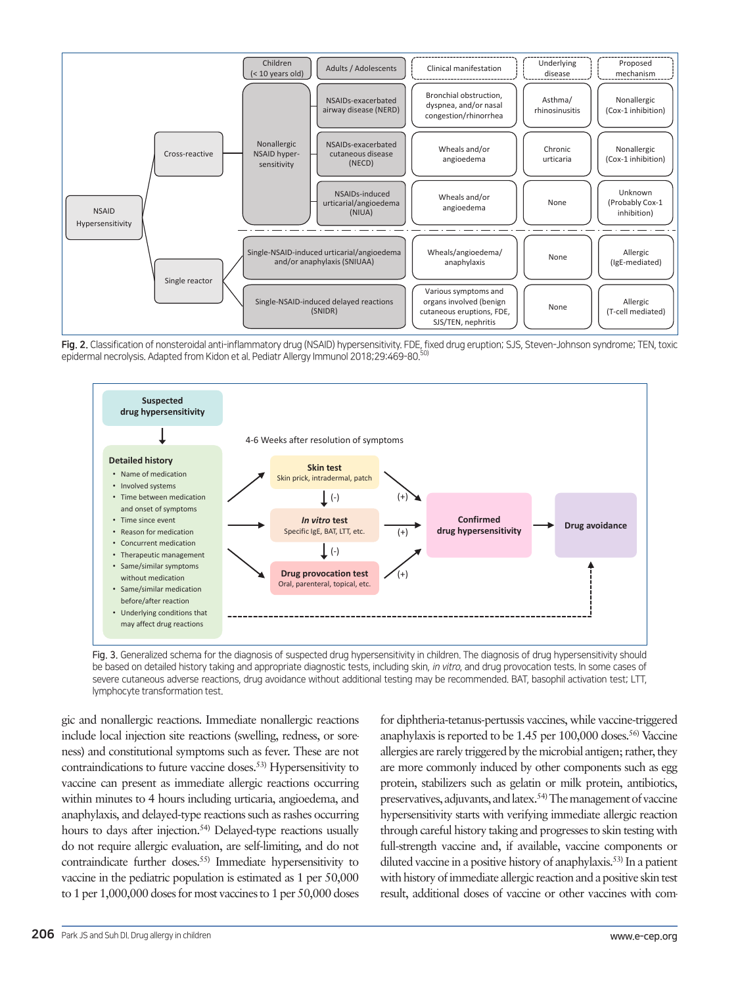

Fig. 2. Classification of nonsteroidal anti-inflammatory drug (NSAID) hypersensitivity. FDE, fixed drug eruption; SJS, Steven-Johnson syndrome; TEN, toxic epidermal necrolysis. Adapted from Kidon et al. Pediatr Allergy Immunol 2018;29:469-80.<sup>50</sup>



Fig. 3. Generalized schema for the diagnosis of suspected drug hypersensitivity in children. The diagnosis of drug hypersensitivity should be based on detailed history taking and appropriate diagnostic tests, including skin, in vitro, and drug provocation tests. In some cases of severe cutaneous adverse reactions, drug avoidance without additional testing may be recommended. BAT, basophil activation test; LTT, lymphocyte transformation test.

gic and nonallergic reactions. Immediate nonallergic reactions include local injection site reactions (swelling, redness, or soreness) and constitutional symptoms such as fever. These are not contraindications to future vaccine doses.53) Hypersensitivity to vaccine can present as immediate allergic reactions occurring within minutes to 4 hours including urticaria, angioedema, and anaphylaxis, and delayed-type reactions such as rashes occurring hours to days after injection.<sup>54)</sup> Delayed-type reactions usually do not require allergic evaluation, are self-limiting, and do not contraindicate further doses.<sup>55)</sup> Immediate hypersensitivity to vaccine in the pediatric population is estimated as 1 per 50,000 to 1 per 1,000,000 doses for most vaccines to 1 per 50,000 doses

for diphtheria-tetanus-pertussis vaccines, while vaccine-triggered anaphylaxis is reported to be 1.45 per 100,000 doses.<sup>56)</sup> Vaccine allergies are rarely triggered by the microbial antigen; rather, they are more commonly induced by other components such as egg protein, stabilizers such as gelatin or milk protein, antibiotics, preservatives, adjuvants, and latex.54) The management of vaccine hypersensitivity starts with verifying immediate allergic reaction through careful history taking and progresses to skin testing with full-strength vaccine and, if available, vaccine components or diluted vaccine in a positive history of anaphylaxis.<sup>53)</sup> In a patient with history of immediate allergic reaction and a positive skin test result, additional doses of vaccine or other vaccines with com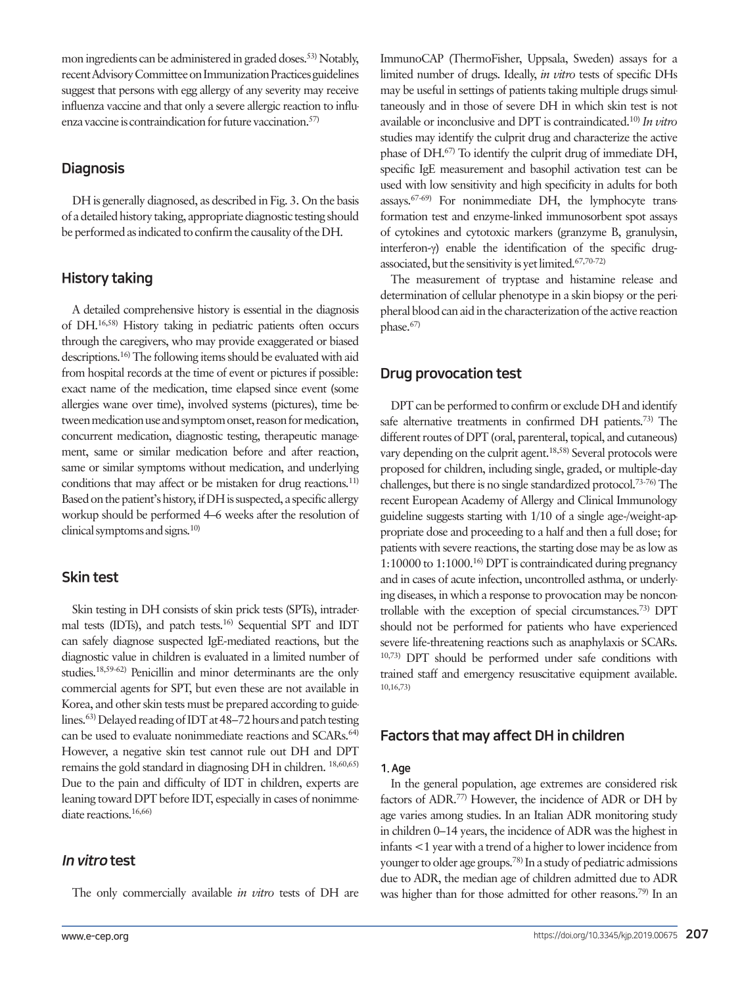mon ingredients can be administered in graded doses.53) Notably, recent Advisory Committee on Immunization Practices guidelines suggest that persons with egg allergy of any severity may receive influenza vaccine and that only a severe allergic reaction to influenza vaccine is contraindication for future vaccination.<sup>57)</sup>

# **Diagnosis**

DH is generally diagnosed, as described in Fig. 3. On the basis of a detailed history taking, appropriate diagnostic testing should be performed as indicated to confirm the causality of the DH.

# History taking

A detailed comprehensive history is essential in the diagnosis of DH.16,58) History taking in pediatric patients often occurs through the caregivers, who may provide exaggerated or biased descriptions.16) The following items should be evaluated with aid from hospital records at the time of event or pictures if possible: exact name of the medication, time elapsed since event (some allergies wane over time), involved systems (pictures), time between medication use and symptom onset, reason for medication, concurrent medication, diagnostic testing, therapeutic management, same or similar medication before and after reaction, same or similar symptoms without medication, and underlying conditions that may affect or be mistaken for drug reactions.<sup>11)</sup> Based on the patient's history, if DH is suspected, a specific allergy workup should be performed 4–6 weeks after the resolution of clinical symptoms and signs.10)

# Skin test

Skin testing in DH consists of skin prick tests (SPTs), intradermal tests (IDTs), and patch tests.16) Sequential SPT and IDT can safely diagnose suspected IgE-mediated reactions, but the diagnostic value in children is evaluated in a limited number of studies.18,59-62) Penicillin and minor determinants are the only commercial agents for SPT, but even these are not available in Korea, and other skin tests must be prepared according to guidelines.63) Delayed reading of IDT at 48–72 hours and patch testing can be used to evaluate nonimmediate reactions and SCARs.<sup>64)</sup> However, a negative skin test cannot rule out DH and DPT remains the gold standard in diagnosing DH in children. 18,60,65) Due to the pain and difficulty of IDT in children, experts are leaning toward DPT before IDT, especially in cases of nonimmediate reactions.16,66)

# In vitro test

The only commercially available *in vitro* tests of DH are

ImmunoCAP (ThermoFisher, Uppsala, Sweden) assays for a limited number of drugs. Ideally, *in vitro* tests of specific DHs may be useful in settings of patients taking multiple drugs simultaneously and in those of severe DH in which skin test is not available or inconclusive and DPT is contraindicated.10) *In vitro* studies may identify the culprit drug and characterize the active phase of DH.67) To identify the culprit drug of immediate DH, specific IgE measurement and basophil activation test can be used with low sensitivity and high specificity in adults for both assays.67-69) For nonimmediate DH, the lymphocyte transformation test and enzyme-linked immunosorbent spot assays of cytokines and cytotoxic markers (granzyme B, granulysin, interferon-γ) enable the identification of the specific drugassociated, but the sensitivity is yet limited.67,70-72)

The measurement of tryptase and histamine release and determination of cellular phenotype in a skin biopsy or the peripheral blood can aid in the characterization of the active reaction phase.67)

# Drug provocation test

DPT can be performed to confirm or exclude DH and identify safe alternative treatments in confirmed DH patients.<sup>73)</sup> The different routes of DPT (oral, parenteral, topical, and cutaneous) vary depending on the culprit agent.18,58) Several protocols were proposed for children, including single, graded, or multiple-day challenges, but there is no single standardized protocol.73-76) The recent European Academy of Allergy and Clinical Immunology guideline suggests starting with 1/10 of a single age-/weight-appropriate dose and proceeding to a half and then a full dose; for patients with severe reactions, the starting dose may be as low as 1:10000 to 1:1000.16) DPT is contraindicated during pregnancy and in cases of acute infection, uncontrolled asthma, or underlying diseases, in which a response to provocation may be noncontrollable with the exception of special circumstances.73) DPT should not be performed for patients who have experienced severe life-threatening reactions such as anaphylaxis or SCARs. 10,73) DPT should be performed under safe conditions with trained staff and emergency resuscitative equipment available. 10,16,73)

# Factors that may affect DH in children

#### 1. Age

In the general population, age extremes are considered risk factors of ADR.77) However, the incidence of ADR or DH by age varies among studies. In an Italian ADR monitoring study in children 0–14 years, the incidence of ADR was the highest in infants <1 year with a trend of a higher to lower incidence from younger to older age groups.78) In a study of pediatric admissions due to ADR, the median age of children admitted due to ADR was higher than for those admitted for other reasons.<sup>79)</sup> In an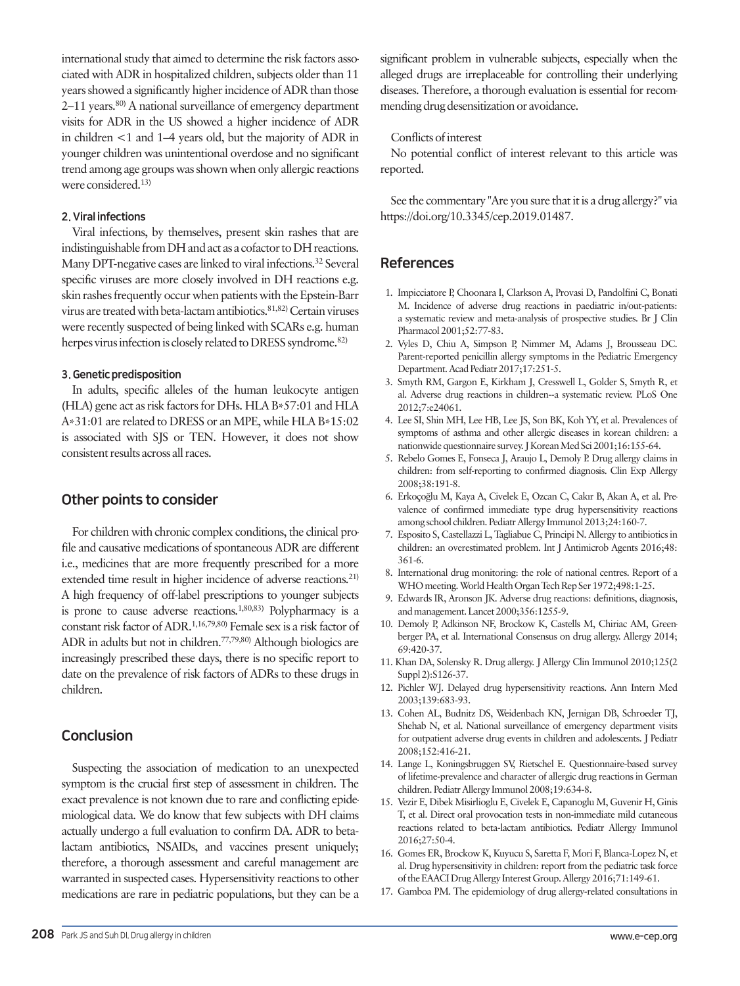international study that aimed to determine the risk factors associated with ADR in hospitalized children, subjects older than 11 years showed a significantly higher incidence of ADR than those 2–11 years.<sup>80)</sup> A national surveillance of emergency department visits for ADR in the US showed a higher incidence of ADR in children <1 and 1–4 years old, but the majority of ADR in younger children was unintentional overdose and no significant trend among age groups was shown when only allergic reactions were considered.13)

#### 2. Viral infections

Viral infections, by themselves, present skin rashes that are indistinguishable from DH and act as a cofactor to DH reactions. Many DPT-negative cases are linked to viral infections.32 Several specific viruses are more closely involved in DH reactions e.g. skin rashes frequently occur when patients with the Epstein-Barr virus are treated with beta-lactam antibiotics.<sup>81,82)</sup> Certain viruses were recently suspected of being linked with SCARs e.g. human herpes virus infection is closely related to DRESS syndrome.<sup>82)</sup>

#### 3. Genetic predisposition

In adults, specific alleles of the human leukocyte antigen (HLA) gene act as risk factors for DHs. HLA B\*57:01 and HLA A\*31:01 are related to DRESS or an MPE, while HLA B\*15:02 is associated with SJS or TEN. However, it does not show consistent results across all races.

### Other points to consider

For children with chronic complex conditions, the clinical profile and causative medications of spontaneous ADR are different i.e., medicines that are more frequently prescribed for a more extended time result in higher incidence of adverse reactions.<sup>21)</sup> A high frequency of off-label prescriptions to younger subjects is prone to cause adverse reactions.<sup>1,80,83)</sup> Polypharmacy is a constant risk factor of ADR.1,16,79,80) Female sex is a risk factor of ADR in adults but not in children.<sup>77,79,80</sup> Although biologics are increasingly prescribed these days, there is no specific report to date on the prevalence of risk factors of ADRs to these drugs in children.

### Conclusion

Suspecting the association of medication to an unexpected symptom is the crucial first step of assessment in children. The exact prevalence is not known due to rare and conflicting epidemiological data. We do know that few subjects with DH claims actually undergo a full evaluation to confirm DA. ADR to betalactam antibiotics, NSAIDs, and vaccines present uniquely; therefore, a thorough assessment and careful management are warranted in suspected cases. Hypersensitivity reactions to other medications are rare in pediatric populations, but they can be a

significant problem in vulnerable subjects, especially when the alleged drugs are irreplaceable for controlling their underlying diseases. Therefore, a thorough evaluation is essential for recommending drug desensitization or avoidance.

#### Conflicts of interest

No potential conflict of interest relevant to this article was reported.

See the commentary "Are you sure that it is a drug allergy?" via [https://doi.org/10.3345/cep.2019.01487.](https://doi.org/10.3345/cep.2019.01487)

#### References

- 1. Impicciatore P, Choonara I, Clarkson A, Provasi D, Pandolfini C, Bonati M. Incidence of adverse drug reactions in paediatric in/out-patients: a systematic review and meta-analysis of prospective studies. Br J Clin Pharmacol 2001;52:77-83.
- 2. Vyles D, Chiu A, Simpson P, Nimmer M, Adams J, Brousseau DC. Parent-reported penicillin allergy symptoms in the Pediatric Emergency Department. Acad Pediatr 2017;17:251-5.
- 3. Smyth RM, Gargon E, Kirkham J, Cresswell L, Golder S, Smyth R, et al. Adverse drug reactions in children--a systematic review. PLoS One 2012;7:e24061.
- 4. Lee SI, Shin MH, Lee HB, Lee JS, Son BK, Koh YY, et al. Prevalences of symptoms of asthma and other allergic diseases in korean children: a nationwide questionnaire survey. J Korean Med Sci 2001;16:155-64.
- 5. Rebelo Gomes E, Fonseca J, Araujo L, Demoly P. Drug allergy claims in children: from self-reporting to confirmed diagnosis. Clin Exp Allergy 2008;38:191-8.
- 6. Erkoçoğlu M, Kaya A, Civelek E, Ozcan C, Cakır B, Akan A, et al. Prevalence of confirmed immediate type drug hypersensitivity reactions among school children. Pediatr Allergy Immunol 2013;24:160-7.
- 7. Esposito S, Castellazzi L, Tagliabue C, Principi N. Allergy to antibiotics in children: an overestimated problem. Int J Antimicrob Agents 2016;48: 361-6.
- 8. International drug monitoring: the role of national centres. Report of a WHO meeting. World Health Organ Tech Rep Ser 1972;498:1-25.
- 9. Edwards IR, Aronson JK. Adverse drug reactions: definitions, diagnosis, and management. Lancet 2000;356:1255-9.
- 10. Demoly P, Adkinson NF, Brockow K, Castells M, Chiriac AM, Greenberger PA, et al. International Consensus on drug allergy. Allergy 2014; 69:420-37.
- 11. Khan DA, Solensky R. Drug allergy. J Allergy Clin Immunol 2010;125(2 Suppl 2):S126-37.
- 12. Pichler WJ. Delayed drug hypersensitivity reactions. Ann Intern Med 2003;139:683-93.
- 13. Cohen AL, Budnitz DS, Weidenbach KN, Jernigan DB, Schroeder TJ, Shehab N, et al. National surveillance of emergency department visits for outpatient adverse drug events in children and adolescents. J Pediatr 2008;152:416-21.
- 14. Lange L, Koningsbruggen SV, Rietschel E. Questionnaire-based survey of lifetime-prevalence and character of allergic drug reactions in German children. Pediatr Allergy Immunol 2008;19:634-8.
- 15. Vezir E, Dibek Misirlioglu E, Civelek E, Capanoglu M, Guvenir H, Ginis T, et al. Direct oral provocation tests in non-immediate mild cutaneous reactions related to beta-lactam antibiotics. Pediatr Allergy Immunol 2016;27:50-4.
- 16. Gomes ER, Brockow K, Kuyucu S, Saretta F, Mori F, Blanca-Lopez N, et al. Drug hypersensitivity in children: report from the pediatric task force of the EAACI Drug Allergy Interest Group. Allergy 2016;71:149-61.
- 17. Gamboa PM. The epidemiology of drug allergy-related consultations in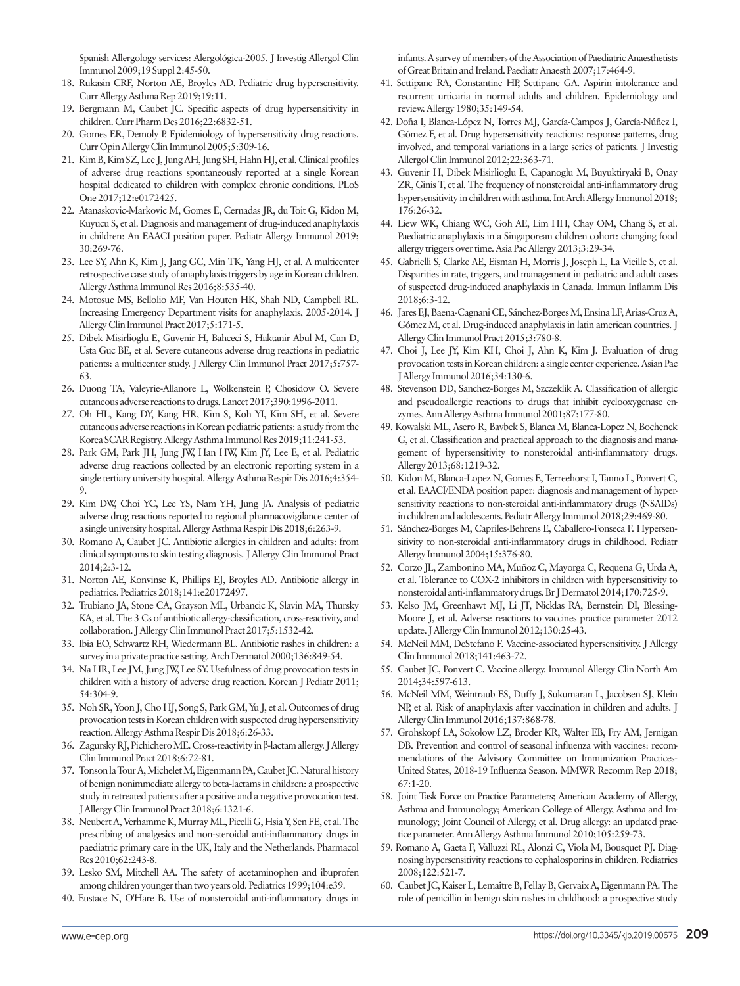Spanish Allergology services: Alergológica-2005. J Investig Allergol Clin Immunol 2009;19 Suppl 2:45-50.

- 18. Rukasin CRF, Norton AE, Broyles AD. Pediatric drug hypersensitivity. Curr Allergy Asthma Rep 2019;19:11.
- 19. Bergmann M, Caubet JC. Specific aspects of drug hypersensitivity in children. Curr Pharm Des 2016;22:6832-51.
- 20. Gomes ER, Demoly P. Epidemiology of hypersensitivity drug reactions. Curr Opin Allergy Clin Immunol 2005;5:309-16.
- 21. Kim B, Kim SZ, Lee J, Jung AH, Jung SH, Hahn HJ, et al. Clinical profiles of adverse drug reactions spontaneously reported at a single Korean hospital dedicated to children with complex chronic conditions. PLoS One 2017;12:e0172425.
- 22. Atanaskovic-Markovic M, Gomes E, Cernadas JR, du Toit G, Kidon M, Kuyucu S, et al. Diagnosis and management of drug-induced anaphylaxis in children: An EAACI position paper. Pediatr Allergy Immunol 2019; 30:269-76.
- 23. Lee SY, Ahn K, Kim J, Jang GC, Min TK, Yang HJ, et al. A multicenter retrospective case study of anaphylaxis triggers by age in Korean children. Allergy Asthma Immunol Res 2016;8:535-40.
- 24. Motosue MS, Bellolio MF, Van Houten HK, Shah ND, Campbell RL. Increasing Emergency Department visits for anaphylaxis, 2005-2014. J Allergy Clin Immunol Pract 2017;5:171-5.
- 25. Dibek Misirlioglu E, Guvenir H, Bahceci S, Haktanir Abul M, Can D, Usta Guc BE, et al. Severe cutaneous adverse drug reactions in pediatric patients: a multicenter study. J Allergy Clin Immunol Pract 2017;5:757-63.
- 26. Duong TA, Valeyrie-Allanore L, Wolkenstein P, Chosidow O. Severe cutaneous adverse reactions to drugs. Lancet 2017;390:1996-2011.
- 27. Oh HL, Kang DY, Kang HR, Kim S, Koh YI, Kim SH, et al. Severe cutaneous adverse reactions in Korean pediatric patients: a study from the Korea SCAR Registry. Allergy Asthma Immunol Res 2019;11:241-53.
- 28. Park GM, Park JH, Jung JW, Han HW, Kim JY, Lee E, et al. Pediatric adverse drug reactions collected by an electronic reporting system in a single tertiary university hospital. Allergy Asthma Respir Dis 2016;4:354-9.
- 29. Kim DW, Choi YC, Lee YS, Nam YH, Jung JA. Analysis of pediatric adverse drug reactions reported to regional pharmacovigilance center of a single university hospital. Allergy Asthma Respir Dis 2018;6:263-9.
- 30. Romano A, Caubet JC. Antibiotic allergies in children and adults: from clinical symptoms to skin testing diagnosis. J Allergy Clin Immunol Pract 2014;2:3-12.
- 31. Norton AE, Konvinse K, Phillips EJ, Broyles AD. Antibiotic allergy in pediatrics. Pediatrics 2018;141:e20172497.
- 32. Trubiano JA, Stone CA, Grayson ML, Urbancic K, Slavin MA, Thursky KA, et al. The 3 Cs of antibiotic allergy-classification, cross-reactivity, and collaboration. J Allergy Clin Immunol Pract 2017;5:1532-42.
- 33. Ibia EO, Schwartz RH, Wiedermann BL. Antibiotic rashes in children: a survey in a private practice setting. Arch Dermatol 2000;136:849-54.
- 34. Na HR, Lee JM, Jung JW, Lee SY. Usefulness of drug provocation tests in children with a history of adverse drug reaction. Korean J Pediatr 2011; 54:304-9.
- 35. Noh SR, Yoon J, Cho HJ, Song S, Park GM, Yu J, et al. Outcomes of drug provocation tests in Korean children with suspected drug hypersensitivity reaction. Allergy Asthma Respir Dis 2018;6:26-33.
- 36. Zagursky RJ, Pichichero ME. Cross-reactivity in β-lactam allergy. J Allergy Clin Immunol Pract 2018;6:72-81.
- 37. Tonson la Tour A, Michelet M, Eigenmann PA, Caubet JC. Natural history of benign nonimmediate allergy to beta-lactams in children: a prospective study in retreated patients after a positive and a negative provocation test. J Allergy Clin Immunol Pract 2018;6:1321-6.
- 38. Neubert A, Verhamme K, Murray ML, Picelli G, Hsia Y, Sen FE, et al. The prescribing of analgesics and non-steroidal anti-inflammatory drugs in paediatric primary care in the UK, Italy and the Netherlands. Pharmacol Res 2010;62:243-8.
- 39. Lesko SM, Mitchell AA. The safety of acetaminophen and ibuprofen among children younger than two years old. Pediatrics 1999;104:e39.
- 40. Eustace N, O'Hare B. Use of nonsteroidal anti-inflammatory drugs in

infants. A survey of members of the Association of Paediatric Anaesthetists of Great Britain and Ireland. Paediatr Anaesth 2007;17:464-9.

- 41. Settipane RA, Constantine HP, Settipane GA. Aspirin intolerance and recurrent urticaria in normal adults and children. Epidemiology and review. Allergy 1980;35:149-54.
- 42. Doña I, Blanca-López N, Torres MJ, García-Campos J, García-Núñez I, Gómez F, et al. Drug hypersensitivity reactions: response patterns, drug involved, and temporal variations in a large series of patients. J Investig Allergol Clin Immunol 2012;22:363-71.
- 43. Guvenir H, Dibek Misirlioglu E, Capanoglu M, Buyuktiryaki B, Onay ZR, Ginis T, et al. The frequency of nonsteroidal anti-inflammatory drug hypersensitivity in children with asthma. Int Arch Allergy Immunol 2018; 176:26-32.
- 44. Liew WK, Chiang WC, Goh AE, Lim HH, Chay OM, Chang S, et al. Paediatric anaphylaxis in a Singaporean children cohort: changing food allergy triggers over time. Asia Pac Allergy 2013;3:29-34.
- 45. Gabrielli S, Clarke AE, Eisman H, Morris J, Joseph L, La Vieille S, et al. Disparities in rate, triggers, and management in pediatric and adult cases of suspected drug-induced anaphylaxis in Canada. Immun Inflamm Dis 2018;6:3-12.
- 46. Jares EJ, Baena-Cagnani CE, Sánchez-Borges M, Ensina LF, Arias-Cruz A, Gómez M, et al. Drug-induced anaphylaxis in latin american countries. J Allergy Clin Immunol Pract 2015;3:780-8.
- 47. Choi J, Lee JY, Kim KH, Choi J, Ahn K, Kim J. Evaluation of drug provocation tests in Korean children: a single center experience. Asian Pac J Allergy Immunol 2016;34:130-6.
- 48. Stevenson DD, Sanchez-Borges M, Szczeklik A. Classification of allergic and pseudoallergic reactions to drugs that inhibit cyclooxygenase enzymes. Ann Allergy Asthma Immunol 2001;87:177-80.
- 49. Kowalski ML, Asero R, Bavbek S, Blanca M, Blanca-Lopez N, Bochenek G, et al. Classification and practical approach to the diagnosis and management of hypersensitivity to nonsteroidal anti-inflammatory drugs. Allergy 2013;68:1219-32.
- 50. Kidon M, Blanca-Lopez N, Gomes E, Terreehorst I, Tanno L, Ponvert C, et al. EAACI/ENDA position paper: diagnosis and management of hypersensitivity reactions to non-steroidal anti-inflammatory drugs (NSAIDs) in children and adolescents. Pediatr Allergy Immunol 2018;29:469-80.
- 51. Sánchez-Borges M, Capriles-Behrens E, Caballero-Fonseca F. Hypersensitivity to non-steroidal anti-inflammatory drugs in childhood. Pediatr Allergy Immunol 2004;15:376-80.
- 52. Corzo JL, Zambonino MA, Muñoz C, Mayorga C, Requena G, Urda A, et al. Tolerance to COX-2 inhibitors in children with hypersensitivity to nonsteroidal anti-inflammatory drugs. Br J Dermatol 2014;170:725-9.
- 53. Kelso JM, Greenhawt MJ, Li JT, Nicklas RA, Bernstein DI, Blessing-Moore J, et al. Adverse reactions to vaccines practice parameter 2012 update. J Allergy Clin Immunol 2012;130:25-43.
- 54. McNeil MM, DeStefano F. Vaccine-associated hypersensitivity. J Allergy Clin Immunol 2018;141:463-72.
- 55. Caubet JC, Ponvert C. Vaccine allergy. Immunol Allergy Clin North Am 2014;34:597-613.
- 56. McNeil MM, Weintraub ES, Duffy J, Sukumaran L, Jacobsen SJ, Klein NP, et al. Risk of anaphylaxis after vaccination in children and adults. J Allergy Clin Immunol 2016;137:868-78.
- 57. Grohskopf LA, Sokolow LZ, Broder KR, Walter EB, Fry AM, Jernigan DB. Prevention and control of seasonal influenza with vaccines: recommendations of the Advisory Committee on Immunization Practices-United States, 2018-19 Influenza Season. MMWR Recomm Rep 2018; 67:1-20.
- 58. Joint Task Force on Practice Parameters; American Academy of Allergy, Asthma and Immunology; American College of Allergy, Asthma and Immunology; Joint Council of Allergy, et al. Drug allergy: an updated practice parameter. Ann Allergy Asthma Immunol 2010;105:259-73.
- 59. Romano A, Gaeta F, Valluzzi RL, Alonzi C, Viola M, Bousquet PJ. Diagnosing hypersensitivity reactions to cephalosporins in children. Pediatrics 2008;122:521-7.
- 60. Caubet JC, Kaiser L, Lemaître B, Fellay B, Gervaix A, Eigenmann PA. The role of penicillin in benign skin rashes in childhood: a prospective study